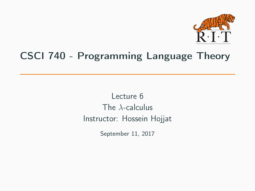

## CSCI 740 - Programming Language Theory

Lecture 6 The  $\lambda$ -calculus Instructor: Hossein Hojjat

September 11, 2017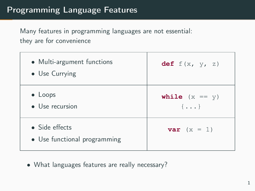## Programming Language Features

Many features in programming languages are not essential: they are for convenience

| • Multi-argument functions<br>• Use Currying   | def $f(x, y, z)$                   |
|------------------------------------------------|------------------------------------|
| $\bullet$ Loops<br>• Use recursion             | while $(x == y)$<br>$\{ \ldots \}$ |
| • Side effects<br>• Use functional programming | var $(x = 1)$                      |

• What languages features are really necessary?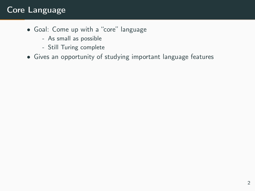## Core Language

- Goal: Come up with a "core" language
	- As small as possible
	- Still Turing complete
- Gives an opportunity of studying important language features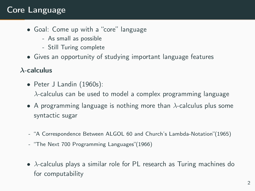## Core Language

- Goal: Come up with a "core" language
	- As small as possible
	- Still Turing complete
- Gives an opportunity of studying important language features

#### λ-calculus

- Peter J Landin (1960s):  $\lambda$ -calculus can be used to model a complex programming language
- A programming language is nothing more than  $\lambda$ -calculus plus some syntactic sugar
- "A Correspondence Between ALGOL 60 and Church's Lambda-Notation"(1965)
- "The Next 700 Programming Languages"(1966)
- $\lambda$ -calculus plays a similar role for PL research as Turing machines do for computability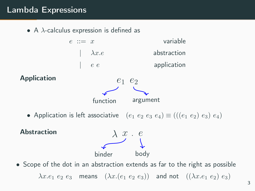## Lambda Expressions

• A  $\lambda$ -calculus expression is defined as

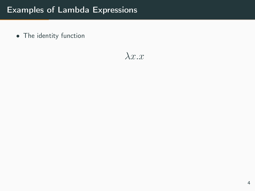$\lambda x.x$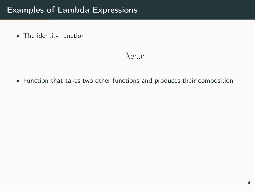$\lambda x.x$ 

• Function that takes two other functions and produces their composition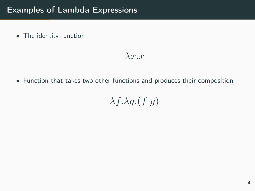$\lambda x.x$ 

• Function that takes two other functions and produces their composition

 $\lambda f.\lambda g.(f \ g)$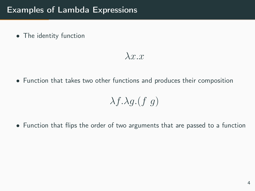$\lambda x.x$ 

• Function that takes two other functions and produces their composition

$$
\lambda f.\lambda g.(f\ g)
$$

• Function that flips the order of two arguments that are passed to a function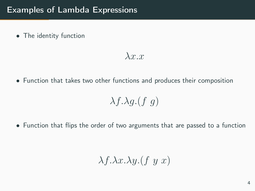$\lambda x.x$ 

• Function that takes two other functions and produces their composition

$$
\lambda f.\lambda g.(f\ g)
$$

• Function that flips the order of two arguments that are passed to a function

$$
\lambda f. \lambda x. \lambda y. (f y x)
$$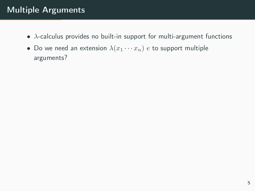## Multiple Arguments

- $\lambda$ -calculus provides no built-in support for multi-argument functions
- Do we need an extension  $\lambda(x_1 \cdots x_n)$  e to support multiple arguments?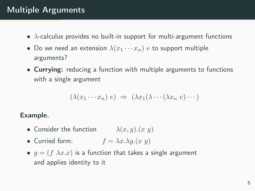## Multiple Arguments

- $\lambda$ -calculus provides no built-in support for multi-argument functions
- Do we need an extension  $\lambda(x_1 \cdots x_n)$  e to support multiple arguments?
- Currying: reducing a function with multiple arguments to functions with a single argument

$$
(\lambda(x_1 \cdots x_n) e) \Rightarrow (\lambda x_1(\lambda \cdots (\lambda x_n e) \cdots)
$$

#### Example.

- Consider the function  $\lambda(x, y) \cdot (x, y)$
- Curried form:  $f = \lambda x.\lambda y.(x \ y)$
- $g = (f \lambda x.x)$  is a function that takes a single argument and applies identity to it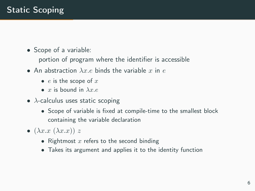- Scope of a variable:
	- portion of program where the identifier is accessible
- An abstraction  $\lambda x.e$  binds the variable x in e
	- $e$  is the scope of  $x$
	- x is bound in  $\lambda x e$
- $\lambda$ -calculus uses static scoping
	- Scope of variable is fixed at compile-time to the smallest block containing the variable declaration
- $(\lambda x.x (\lambda x.x)) z$ 
	- Rightmost  $x$  refers to the second binding
	- Takes its argument and applies it to the identity function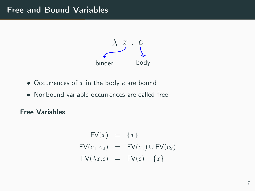## Free and Bound Variables



- Occurrences of  $x$  in the body  $e$  are bound
- Nonbound variable occurrences are called free

Free Variables

$$
FV(x) = \{x\}
$$
  
\n
$$
FV(e_1 e_2) = FV(e_1) \cup FV(e_2)
$$
  
\n
$$
FV(\lambda x.e) = FV(e) - \{x\}
$$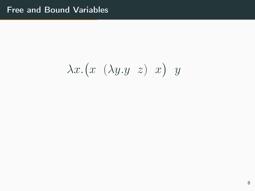# $\lambda x.(x \ (\lambda y.y \ z) \ x) \ y$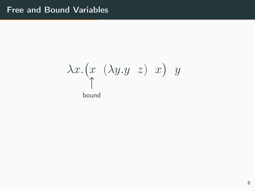# $\lambda x.(x \ (\lambda y.y \ z) \ x) \ y$ bound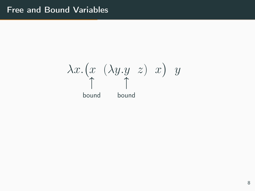$\lambda x.(x \ (\lambda y.y \ z) \ x) \ y$ bound bound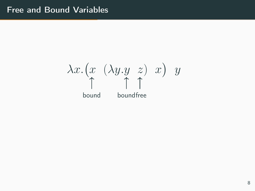$\lambda x.(x \ (\lambda y.y \ z) \ x) \ y$ bound boundfree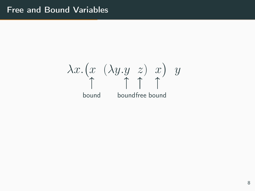$\lambda x.(x \ (\lambda y.y \ z) \ x) \ y$ bound boundfree bound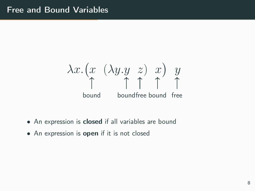$$
\lambda x. (x (\lambda y. y z) x) y\n\uparrow \uparrow \uparrow \uparrow \uparrow \uparrow
$$
\nbound\nbounded bound free

- An expression is **closed** if all variables are bound
- An expression is **open** if it is not closed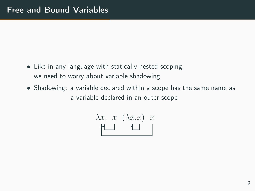- Like in any language with statically nested scoping, we need to worry about variable shadowing
- Shadowing: a variable declared within a scope has the same name as a variable declared in an outer scope

$$
\lambda x. x (\lambda x.x) x
$$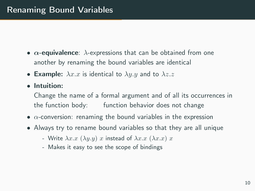- $\alpha$ -equivalence:  $\lambda$ -expressions that can be obtained from one another by renaming the bound variables are identical
- Example:  $\lambda x.x$  is identical to  $\lambda y.y$  and to  $\lambda z.z$
- Intuition:

Change the name of a formal argument and of all its occurrences in the function body: function behavior does not change

- $\alpha$ -conversion: renaming the bound variables in the expression
- Always try to rename bound variables so that they are all unique
	- Write  $\lambda x.x (\lambda y.y) x$  instead of  $\lambda x.x (\lambda x.x) x$
	- Makes it easy to see the scope of bindings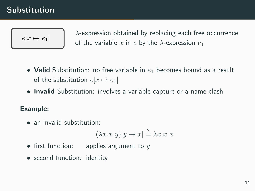## Substitution



 $\lambda$ -expression obtained by replacing each free occurrence of the variable x in e by the  $\lambda$ -expression  $e_1$ 

- Valid Substitution: no free variable in  $e_1$  becomes bound as a result of the substitution  $e[x \mapsto e_1]$
- Invalid Substitution: involves a variable capture or a name clash

#### Example:

• an invalid substitution:

$$
(\lambda x.x \ y)[y \mapsto x] \stackrel{?}{=} \lambda x.x \ x
$$

- first function: applies argument to  $y$
- second function: identity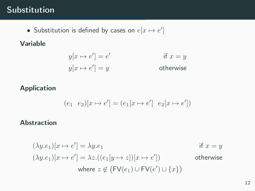## Substitution

• Substitution is defined by cases on  $e[x \mapsto e']$ 

### Variable

$$
y[x \mapsto e'] = e'
$$
if  $x = y$   

$$
y[x \mapsto e'] = y
$$
otherwise

#### Application

$$
(e_1 \ e_2)[x \mapsto e'] = (e_1[x \mapsto e'] \ e_2[x \mapsto e'])
$$

#### Abstraction

$$
(\lambda y.e_1)[x \mapsto e'] = \lambda y.e_1 \qquad \text{if } x = y
$$
  

$$
(\lambda y.e_1)[x \mapsto e'] = \lambda z.((e_1[y \mapsto z])[x \mapsto e']) \qquad \text{otherwise}
$$
  
where  $z \notin (\text{FV}(e_1) \cup \text{FV}(e') \cup \{x\})$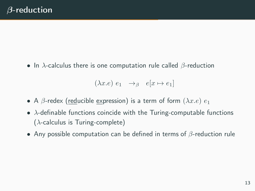• In  $\lambda$ -calculus there is one computation rule called  $\beta$ -reduction

$$
(\lambda x.e) e_1 \rightarrow_{\beta} e[x \mapsto e_1]
$$

- A  $\beta$ -redex (reducible expression) is a term of form  $(\lambda x.e) e_1$
- $\lambda$ -definable functions coincide with the Turing-computable functions  $(\lambda$ -calculus is Turing-complete)
- Any possible computation can be defined in terms of  $\beta$ -reduction rule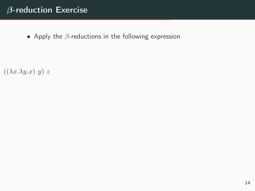## β-reduction Exercise

• Apply the  $\beta$ -reductions in the following expression

 $((\lambda x.\lambda y.x) y) z$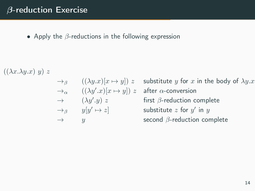• Apply the  $\beta$ -reductions in the following expression

 $((\lambda x.\lambda y.x) y) z$ 

$$
\begin{array}{ll}\n\to_{\beta} & ((\lambda y.x)[x \mapsto y]) \; z \\
\to_{\alpha} & ((\lambda y'.x)[x \mapsto y]) \\
\to & (\lambda y'.y) \; z \\
\to_{\beta} & y[y' \mapsto z] \\
\to & y\n\end{array}
$$

s substitute y for x in the body of  $\lambda y.x$  $z$  after  $\alpha$ -conversion first  $\beta$ -reduction complete  $\mapsto z$ ] substitute  $z$  for  $y'$  in  $y$ second  $\beta$ -reduction complete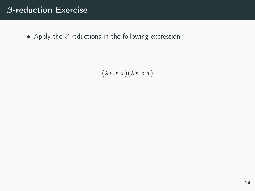## β-reduction Exercise

• Apply the  $\beta$ -reductions in the following expression

 $(\lambda x.x x)(\lambda x.x x)$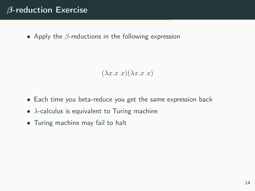## β-reduction Exercise

• Apply the  $\beta$ -reductions in the following expression

```
(\lambda x.x x)(\lambda x.x x)
```
- Each time you beta-reduce you get the same expression back
- $\lambda$ -calculus is equivalent to Turing machine
- Turing machine may fail to halt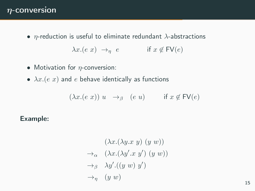### $\eta$ -conversion

•  $\eta$ -reduction is useful to eliminate redundant  $\lambda$ -abstractions

$$
\lambda x. (e \ x) \rightarrow_{\eta} e \qquad \text{if } x \notin \textsf{FV}(e)
$$

- Motivation for  $\eta$ -conversion:
- $\lambda x. (e \ x)$  and  $e$  behave identically as functions

$$
(\lambda x. (e \ x)) \ u \rightarrow_{\beta} \ (e \ u) \qquad \text{if } x \notin \mathsf{FV}(e)
$$

#### Example:

$$
(\lambda x.(\lambda y.x \ y) \ (y \ w))
$$
  
\n
$$
\rightarrow_{\alpha} (\lambda x.(\lambda y'.x \ y') \ (y \ w))
$$
  
\n
$$
\rightarrow_{\beta} \lambda y'.((y \ w) \ y')
$$
  
\n
$$
\rightarrow_{\eta} (y \ w)
$$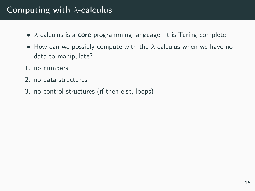## Computing with  $\lambda$ -calculus

- $\lambda$ -calculus is a **core** programming language: it is Turing complete
- How can we possibly compute with the  $\lambda$ -calculus when we have no data to manipulate?
- 1. no numbers
- 2. no data-structures
- 3. no control structures (if-then-else, loops)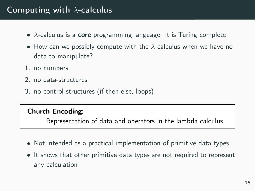## Computing with  $\lambda$ -calculus

- $\lambda$ -calculus is a **core** programming language: it is Turing complete
- How can we possibly compute with the  $\lambda$ -calculus when we have no data to manipulate?
- 1. no numbers
- 2. no data-structures
- 3. no control structures (if-then-else, loops)

#### Church Encoding:

Representation of data and operators in the lambda calculus

- Not intended as a practical implementation of primitive data types
- It shows that other primitive data types are not required to represent any calculation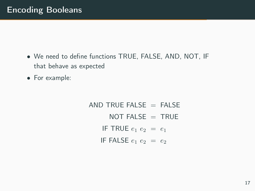- We need to define functions TRUE, FALSE, AND, NOT, IF that behave as expected
- For example:

AND TRUE FALSE  $=$  FAI SF NOT FALSE  $=$  TRUE IF TRUE  $e_1 e_2 = e_1$ IF FALSE  $e_1 e_2 = e_2$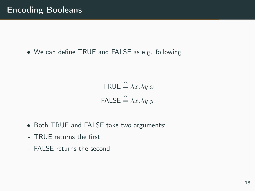• We can define TRUE and FALSE as e.g. following

$$
\mathsf{TRUE} \stackrel{\triangle}{=} \lambda x.\lambda y.x
$$

$$
\mathsf{FALSE} \stackrel{\triangle}{=} \lambda x.\lambda y.y
$$

- Both TRUE and FALSE take two arguments:
- TRUE returns the first
- FALSE returns the second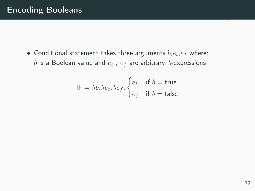• Conditional statement takes three arguments  $b, e_t, e_f$  where: b is a Boolean value and  $e_t$ ,  $e_f$  are arbitrary  $\lambda$ -expressions

$$
\mathsf{IF} = \lambda b. \lambda e_t. \lambda e_f. \begin{cases} e_t & \text{if } b = \text{true} \\ e_f & \text{if } b = \text{false} \end{cases}
$$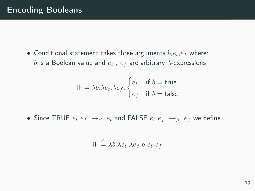• Conditional statement takes three arguments  $b, e_t, e_f$  where: b is a Boolean value and  $e_t$ ,  $e_f$  are arbitrary  $\lambda$ -expressions

$$
\mathsf{IF} = \lambda b. \lambda e_t. \lambda e_f. \begin{cases} e_t & \text{if } b = \text{true} \\ e_f & \text{if } b = \text{false} \end{cases}
$$

• Since TRUE  $e_t e_f \rightarrow_\beta e_t$  and FALSE  $e_t e_f \rightarrow_\beta e_f$  we define

$$
IF \stackrel{\triangle}{=} \lambda b. \lambda e_t. \lambda e_f. b e_t e_f
$$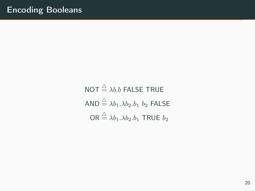$$
\begin{aligned}\n\text{NOT} &\stackrel{\triangle}{=} \lambda b.b \text{ FALSE TRUE} \\
\text{AND} &\stackrel{\triangle}{=} \lambda b_1 . \lambda b_2 . b_1 b_2 \text{ FALSE} \\
\text{OR} &\stackrel{\triangle}{=} \lambda b_1 . \lambda b_2 . b_1 \text{ TRUE } b_2\n\end{aligned}
$$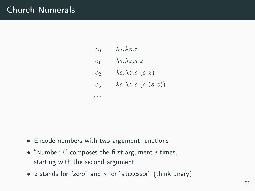## Church Numerals

 $c_0$   $\lambda s.\lambda z.z$  $c_1$   $\lambda s.\lambda z.s z$  $c_2$   $\lambda s.\lambda z.s$  (s z)  $c_3$   $\lambda s.\lambda z.s$  (s (s z))

• Encode numbers with two-argument functions

· · ·

- "Number  $i$ " composes the first argument  $i$  times, starting with the second argument
- $z$  stands for "zero" and  $s$  for "successor" (think unary)